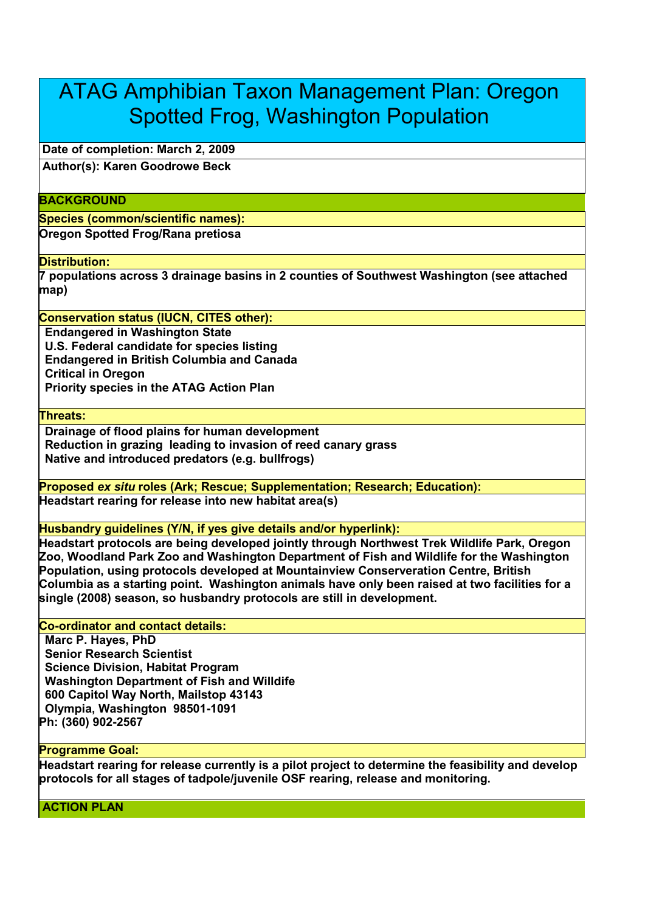# ATAG Amphibian Taxon Management Plan: Oregon Spotted Frog, Washington Population

**Date of completion: March 2, 2009**

**Author(s): Karen Goodrowe Beck**

## **BACKGROUND**

**Species (common/scientific names):**

**Oregon Spotted Frog/Rana pretiosa**

#### **Distribution:**

**7 populations across 3 drainage basins in 2 counties of Southwest Washington (see attached map)**

## **Conservation status (IUCN, CITES other):**

**Endangered in Washington State U.S. Federal candidate for species listing Endangered in British Columbia and Canada Critical in Oregon Priority species in the ATAG Action Plan** 

**Threats:**

**Drainage of flood plains for human development Reduction in grazing leading to invasion of reed canary grass Native and introduced predators (e.g. bullfrogs)** 

**Proposed** *ex situ* **roles (Ark; Rescue; Supplementation; Research; Education): Headstart rearing for release into new habitat area(s)**

**Husbandry guidelines (Y/N, if yes give details and/or hyperlink):**

**Headstart protocols are being developed jointly through Northwest Trek Wildlife Park, Oregon Zoo, Woodland Park Zoo and Washington Department of Fish and Wildlife for the Washington Population, using protocols developed at Mountainview Conserveration Centre, British Columbia as a starting point. Washington animals have only been raised at two facilities for a single (2008) season, so husbandry protocols are still in development.** 

### **Co-ordinator and contact details:**

**Marc P. Hayes, PhD Senior Research Scientist Science Division, Habitat Program Washington Department of Fish and Willdife 600 Capitol Way North, Mailstop 43143 Olympia, Washington 98501-1091 Ph: (360) 902-2567** 

#### **Programme Goal:**

**Headstart rearing for release currently is a pilot project to determine the feasibility and develop protocols for all stages of tadpole/juvenile OSF rearing, release and monitoring.** 

**ACTION PLAN**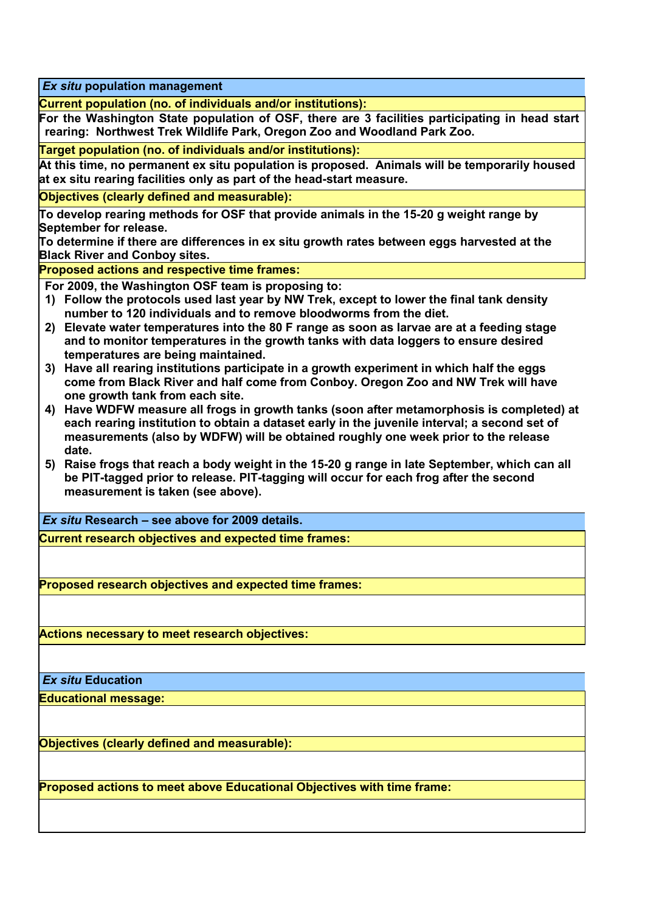*Ex situ* **population management**

**Current population (no. of individuals and/or institutions):**

**For the Washington State population of OSF, there are 3 facilities participating in head start rearing: Northwest Trek Wildlife Park, Oregon Zoo and Woodland Park Zoo.** 

**Target population (no. of individuals and/or institutions):**

**At this time, no permanent ex situ population is proposed. Animals will be temporarily housed at ex situ rearing facilities only as part of the head-start measure.** 

**Objectives (clearly defined and measurable):**

**To develop rearing methods for OSF that provide animals in the 15-20 g weight range by September for release.**

**To determine if there are differences in ex situ growth rates between eggs harvested at the Black River and Conboy sites.** 

**Proposed actions and respective time frames:** 

**For 2009, the Washington OSF team is proposing to:**

- **1) Follow the protocols used last year by NW Trek, except to lower the final tank density number to 120 individuals and to remove bloodworms from the diet.**
- **2) Elevate water temperatures into the 80 F range as soon as larvae are at a feeding stage and to monitor temperatures in the growth tanks with data loggers to ensure desired temperatures are being maintained.**
- **3) Have all rearing institutions participate in a growth experiment in which half the eggs come from Black River and half come from Conboy. Oregon Zoo and NW Trek will have one growth tank from each site.**
- **4) Have WDFW measure all frogs in growth tanks (soon after metamorphosis is completed) at each rearing institution to obtain a dataset early in the juvenile interval; a second set of measurements (also by WDFW) will be obtained roughly one week prior to the release date.**
- **5) Raise frogs that reach a body weight in the 15-20 g range in late September, which can all be PIT-tagged prior to release. PIT-tagging will occur for each frog after the second measurement is taken (see above).**

*Ex situ* **Research – see above for 2009 details.** 

**Current research objectives and expected time frames:**

**Proposed research objectives and expected time frames:**

**Actions necessary to meet research objectives:**

*Ex situ* **Education**

**Educational message:**

**Objectives (clearly defined and measurable):**

**Proposed actions to meet above Educational Objectives with time frame:**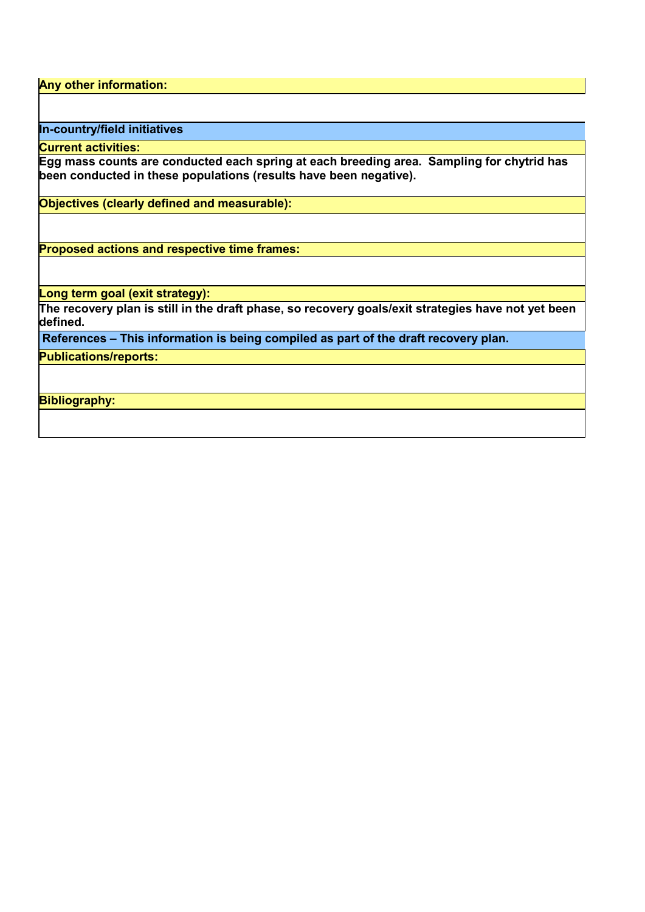**Any other information:**

**In-country/field initiatives**

**Current activities:**

**Egg mass counts are conducted each spring at each breeding area. Sampling for chytrid has been conducted in these populations (results have been negative).** 

**Objectives (clearly defined and measurable):**

**Proposed actions and respective time frames:**

**Long term goal (exit strategy):**

**The recovery plan is still in the draft phase, so recovery goals/exit strategies have not yet been defined.** 

**References – This information is being compiled as part of the draft recovery plan.** 

**Publications/reports:**

**Bibliography:**